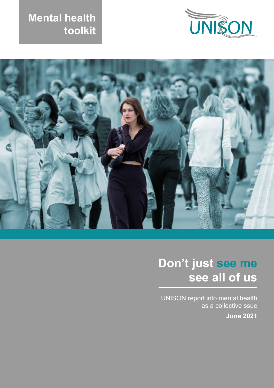





# **Don't just see me see all of us**

UNISON report into mental health as a collective ssue **June 2021**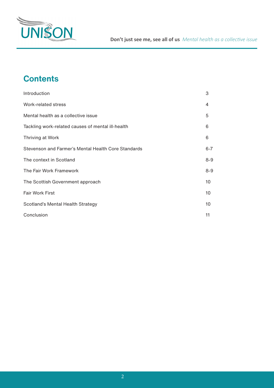

# **Contents**

| Introduction                                        | 3       |
|-----------------------------------------------------|---------|
| Work-related stress                                 | 4       |
| Mental health as a collective issue                 | 5       |
| Tackling work-related causes of mental ill-health   | 6       |
| Thriving at Work                                    | 6       |
| Stevenson and Farmer's Mental Health Core Standards | $6 - 7$ |
| The context in Scotland                             | $8 - 9$ |
| The Fair Work Framework                             | $8 - 9$ |
| The Scottish Government approach                    |         |
| <b>Fair Work First</b>                              | 10      |
| Scotland's Mental Health Strategy                   |         |
| Conclusion                                          |         |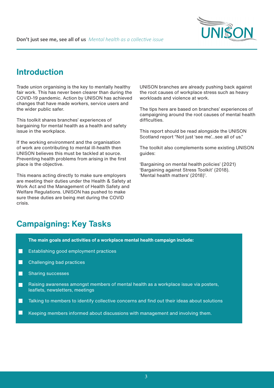

## **Introduction**

Trade union organising is the key to mentally healthy fair work. This has never been clearer than during the COVID-19 pandemic. Action by UNISON has achieved changes that have made workers, service users and the wider public safer.

This toolkit shares branches' experiences of bargaining for mental health as a health and safety issue in the workplace.

If the working environment and the organisation of work are contributing to mental ill-health then UNISON believes this must be tackled at source. Preventing health problems from arising in the first place is the objective.

This means acting directly to make sure employers are meeting their duties under the Health & Safety at Work Act and the Management of Health Safety and Welfare Regulations. UNISON has pushed to make sure these duties are being met during the COVID crisis.

UNISON branches are already pushing back against the root causes of workplace stress such as heavy workloads and violence at work.

The tips here are based on branches' experiences of campaigning around the root causes of mental health difficulties.

This report should be read alongside the UNISON Scotland report "Not just 'see me'...see all of us."

The toolkit also complements some existing UNISON guides:

'Bargaining on mental health policies' (2021) 'Bargaining against Stress Toolkit' (2018). 'Mental health matters' (2018)<sup>1</sup>.

# **Campaigning: Key Tasks**

**The main goals and activities of a workplace mental health campaign include:**

- П Establishing good employment practices
- $\Box$ Challenging bad practices
- Sharing successes  $\Box$
- Raising awareness amongst members of mental health as a workplace issue via posters,  $\Box$ leaflets, newsletters, meetings
- П Talking to members to identify collective concerns and find out their ideas about solutions
- Г Keeping members informed about discussions with management and involving them.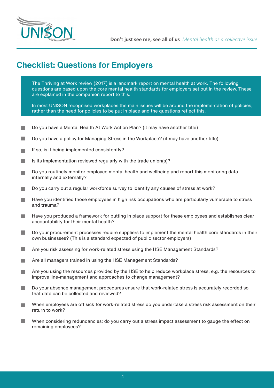

# **Checklist: Questions for Employers**

The Thriving at Work review (2017) is a landmark report on mental health at work. The following questions are based upon the core mental health standards for employers set out in the review. These are explained in the companion report to this.

In most UNISON recognised workplaces the main issues will be around the implementation of policies, rather than the need for policies to be put in place and the questions reflect this.

- Do you have a Mental Health At Work Action Plan? (it may have another title)
- F. Do you have a policy for Managing Stress in the Workplace? (it may have another title)
- If so, is it being implemented consistently? **COL**
- **College** Is its implementation reviewed regularly with the trade union(s)?
- Do you routinely monitor employee mental health and wellbeing and report this monitoring data internally and externally?
- Do you carry out a regular workforce survey to identify any causes of stress at work?
- Have you identified those employees in high risk occupations who are particularly vulnerable to stress **College** and trauma?
- Have you produced a framework for putting in place support for these employees and establishes clear **College** accountability for their mental health?
- Do your procurement processes require suppliers to implement the mental health core standards in their **College** own businesses? (This is a standard expected of public sector employers)
- Are you risk assessing for work-related stress using the HSE Management Standards? **College**
- Are all managers trained in using the HSE Management Standards? **College**
- Are you using the resources provided by the HSE to help reduce workplace stress, e.g. the resources to **College** improve line-management and approaches to change management?
- Do your absence management procedures ensure that work-related stress is accurately recorded so that data can be collected and reviewed?
- When employees are off sick for work-related stress do you undertake a stress risk assessment on their return to work?
- When considering redundancies: do you carry out a stress impact assessment to gauge the effect on **College** remaining employees?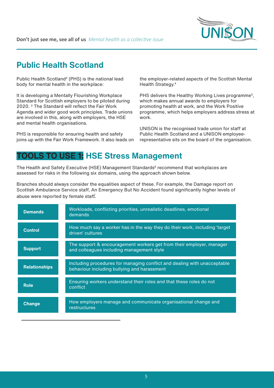

# **Public Health Scotland**

Public Health Scotland<sup>2</sup> (PHS) is the national lead body for mental health in the workplace:

It is developing a Mentally Flourishing Workplace Standard for Scottish employers to be piloted during 2020. 3 The Standard will reflect the Fair Work Agenda and wider good work principles. Trade unions are involved in this, along with employers, the HSE and mental health organisations.

PHS is responsible for ensuring health and safety joins up with the Fair Work Framework. It also leads on the employer-related aspects of the Scottish Mental Health Strategy.4

PHS delivers the Healthy Working Lives programme<sup>5</sup>, which makes annual awards to employers for promoting health at work, and the Work Positive programme, which helps employers address stress at work.

UNISON is the recognised trade union for staff at Public Health Scotland and a UNISON employeerepresentative sits on the board of the organisation.

## **TOOLS TO USE 1: HSE Stress Management**

The Health and Safety Executive (HSE) Management Standards<sup>6</sup> recommend that workplaces are assessed for risks in the following six domains, using the approach shown below.

Branches should always consider the equalities aspect of these. For example, the Damage report on Scottish Ambulance Service staff, An Emergency But No Accident found significantly higher levels of abuse were reported by female staff.

| <b>Demands</b>       | Workloads, conflicting priorities, unrealistic deadlines, emotional<br>demands                                          |
|----------------------|-------------------------------------------------------------------------------------------------------------------------|
| <b>Control</b>       | How much say a worker has in the way they do their work, including 'target<br>driven' cultures                          |
| <b>Support</b>       | The support & encouragement workers get from their employer, manager<br>and colleagues including management style       |
| <b>Relationships</b> | Including procedures for managing conflict and dealing with unacceptable<br>behaviour including bullying and harassment |
| <b>Role</b>          | Ensuring workers understand their roles and that these roles do not<br>conflict                                         |
| <b>Change</b>        | How employers manage and communicate organisational change and<br>restructures                                          |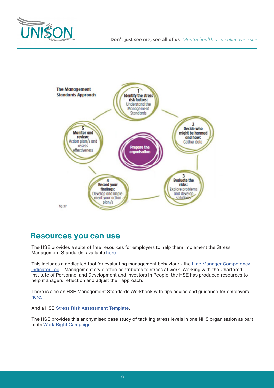



### **Resources you can use**

The HSE provides a suite of free resources for employers to help them implement the Stress Management Standards, available here.

This includes a dedicated tool for evaluating management behaviour - the Line Manager Competency Indicator Tool. Management style often contributes to stress at work. Working with the Chartered Institute of Personnel and Development and Investors in People, the HSE has produced resources to help managers reflect on and adjust their approach.

There is also an HSE Management Standards Workbook with tips advice and guidance for employers here.

And a HSE Stress Risk Assessment Template.

The HSE provides this anonymised case study of tackling stress levels in one NHS organisation as part of its Work Right Campaign.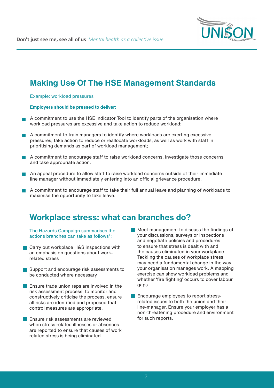

## **Making Use Of The HSE Management Standards**

Example: workload pressures

#### **Employers should be pressed to deliver:**

- A commitment to use the HSE Indicator Tool to identify parts of the organisation where workload pressures are excessive and take action to reduce workload;
- A commitment to train managers to identify where workloads are exerting excessive pressures, take action to reduce or reallocate workloads, as well as work with staff in prioritising demands as part of workload management;
- A commitment to encourage staff to raise workload concerns, investigate those concerns and take appropriate action.
- An appeal procedure to allow staff to raise workload concerns outside of their immediate line manager without immediately entering into an official grievance procedure.
- A commitment to encourage staff to take their full annual leave and planning of workloads to maximise the opportunity to take leave.

## **Workplace stress: what can branches do?**

The Hazards Campaign summarises the actions branches can take as follows<sup>7</sup>:

- **Carry out workplace H&S inspections with** an emphasis on questions about workrelated stress
- Support and encourage risk assessments to be conducted where necessary
- **E** Ensure trade union reps are involved in the risk assessment process, to monitor and constructively criticise the process, ensure all risks are identified and proposed that control measures are appropriate.
- **Ensure risk assessments are reviewed** when stress related illnesses or absences are reported to ensure that causes of work related stress is being eliminated.
- Meet management to discuss the findings of your discussions, surveys or inspections and negotiate policies and procedures to ensure that stress is dealt with and the causes eliminated in your workplace. Tackling the causes of workplace stress may need a fundamental change in the way your organisation manages work. A mapping exercise can show workload problems and whether 'fire fighting' occurs to cover labour gaps.
- **Encourage employees to report stress**related issues to both the union and their line-manager. Ensure your employer has a non-threatening procedure and environment for such reports.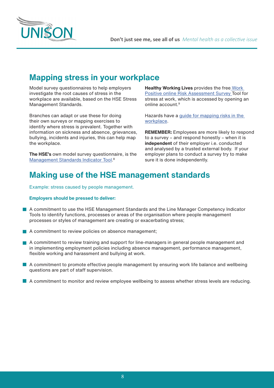



## **Mapping stress in your workplace**

Model survey questionnaires to help employers investigate the root causes of stress in the workplace are available, based on the HSE Stress Management Standards.

Branches can adapt or use these for doing their own surveys or mapping exercises to identify where stress is prevalent. Together with information on sickness and absence, grievances, bullying, incidents and injuries, this can help map the workplace.

**The HSE's** own model survey questionnaire, is the Management Standards Indicator Tool.<sup>8</sup>

**Healthy Working Lives** provides the free Work Positive online Risk Assessment Survey Tool for stress at work, which is accessed by opening an online account<sup>9</sup>

Hazards have a guide for mapping risks in the workplace.

**REMEMBER:** Employees are more likely to respond to a survey – and respond honestly – when it is **independent** of their employer i.e. conducted and analysed by a trusted external body. If your employer plans to conduct a survey try to make sure it is done independently.

# **Making use of the HSE management standards**

Example: stress caused by people management.

#### **Employers should be pressed to deliver:**

- A commitment to use the HSE Management Standards and the Line Manager Competency Indicator Tools to identify functions, processes or areas of the organisation where people management processes or styles of management are creating or exacerbating stress;
- $\blacksquare$  A commitment to review policies on absence management;
- A commitment to review training and support for line-managers in general people management and in implementing employment policies including absence management, performance management, flexible working and harassment and bullying at work.
- **A** commitment to promote effective people management by ensuring work life balance and wellbeing questions are part of staff supervision.
- A commitment to monitor and review employee wellbeing to assess whether stress levels are reducing.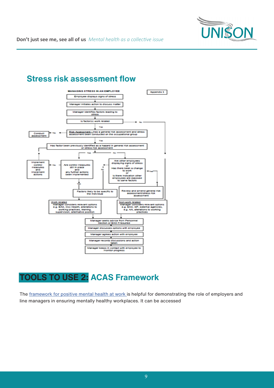

# **Stress risk assessment flow**



# **TOOLS TO USE 2: ACAS Framework**

The framework for positive mental health at work is helpful for demonstrating the role of employers and line managers in ensuring mentally healthy workplaces. It can be accessed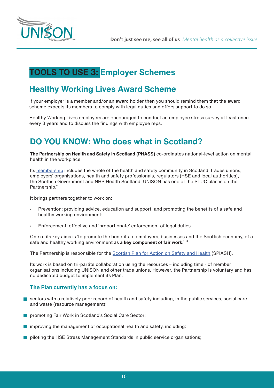

# **TOOLS TO USE 3: Employer Schemes**

# **Healthy Working Lives Award Scheme**

If your employer is a member and/or an award holder then you should remind them that the award scheme expects its members to comply with legal duties and offers support to do so.

Healthy Working Lives employers are encouraged to conduct an employee stress survey at least once every 3 years and to discuss the findings with employee reps.

# **DO YOU KNOW: Who does what in Scotland?**

**The Partnership on Health and Safety in Scotland (PHASS)** co-ordinates national-level action on mental health in the workplace.

Its membership includes the whole of the health and safety community in Scotland: trades unions, employers' organisations, health and safety professionals, regulators (HSE and local authorities), the Scottish Government and NHS Health Scotland. UNISON has one of the STUC places on the Partnership.<sup>11</sup>

It brings partners together to work on:

- Prevention: providing advice, education and support, and promoting the benefits of a safe and healthy working environment;
- Enforcement: effective and 'proportionate' enforcement of legal duties.

One of its key aims is 'to promote the benefits to employers, businesses and the Scottish economy, of a safe and healthy working environment as **a key component of fair work.' 12**

The Partnership is responsible for the Scottish Plan for Action on Safety and Health (SPlASH).

Its work is based on tri-partite collaboration using the resources – including time - of member organisations including UNISON and other trade unions. However, the Partnership is voluntary and has no dedicated budget to implement its Plan.

#### **The Plan currently has a focus on:**

- sectors with a relatively poor record of health and safety including, in the public services, social care and waste (resource management);
- **Peromoting Fair Work in Scotland's Social Care Sector:**
- $\blacksquare$  improving the management of occupational health and safety, including:
- **Polloting the HSE Stress Management Standards in public service organisations:**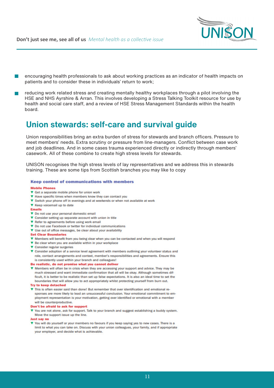

encouraging health professionals to ask about working practices as an indicator of health impacts on patients and to consider these in individuals' return to work;

reducing work related stress and creating mentally healthy workplaces through a pilot involving the HSE and NHS Ayrshire & Arran. This involves developing a Stress Talking Toolkit resource for use by health and social care staff, and a review of HSE Stress Management Standards within the health board.

#### **Union stewards: self-care and survival guide**

Union responsibilities bring an extra burden of stress for stewards and branch officers. Pressure to meet members' needs. Extra scrutiny or pressure from line-managers. Conflict between case work and job deadlines. And in some cases trauma experienced directly or indirectly through members' casework. All of these combine to create high stress levels for stewards.

UNISON recognises the high stress levels of lay representatives and we address this in stewards training. These are some tips from Scottish branches you may like to copy

#### **Keep control of communications with members**

#### **Mobile Phones**

- ▼ Get a separate mobile phone for union work
- ▼ Have specific times when members know they can contact you
- ▼ Switch your phone off in evenings and at weekends or when not available at work
- ▼ Keep voicemail up to date
- **Emails**
- ▼ Do not use your personal domestic email
- ▼ Consider setting up separate account with union in title
- ▼ Refer to agreements before using work email
- ▼ Do not use Facebook or twitter for individual communications
- V Use out of office messages, be clear about your availability
- **Set Clear Boundaries**
- ▼ Members will benefit from you being clear when you can be contacted and when you will respond
- ▼ Be clear when you are available within in your workplace
- ▼ Consider regular surgeries
- ▼ Consider adoption of a service level agreement with members outlining your volunteer status and role, contact arrangements and context, member's responsibilities and agreements. Ensure this is consistently used within your branch and colleagues!
- Be realistic, do not promise what you cannot deliver
- ▼ Members will often be in crisis when they are accessing your support and advice. They may be much stressed and want immediate confirmation that all will be okay. Although sometimes difficult, it is better to be realistic than set up false expectations. It is also an ideal time to set the boundaries that will allow you to act appropriately whilst protecting yourself from burn out.

#### **Try to keep detached**

This is often easier said than done! But remember that over identification and emotional responses are more likely to lead an unsuccessful conclusion. Your emotional commitment to employment representation is your motivation, getting over identified or emotional with a member will be counterproductive.

#### Don't be afraid to ask for support

▼ You are not alone, ask for support. Talk to your branch and suggest establishing a buddy system. Move the support issue up the line.

#### Just say no

▼ You will do yourself or your members no favours if you keep saying yes to new cases. There is a limit to what you can take on. Discuss with your union colleagues, your family, and if appropriate your employer, and decide what is achievable.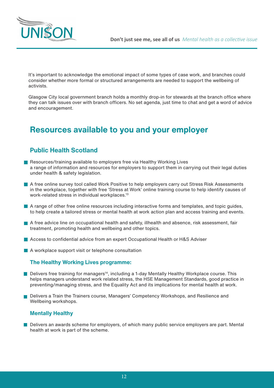

It's important to acknowledge the emotional impact of some types of case work, and branches could consider whether more formal or structured arrangements are needed to support the wellbeing of activists.

Glasgow City local government branch holds a monthly drop-in for stewards at the branch office where they can talk issues over with branch officers. No set agenda, just time to chat and get a word of advice and encouragement.

# **Resources available to you and your employer**

#### **Public Health Scotland**

- Resources/training available to employers free via Healthy Working Lives a range of information and resources for employers to support them in carrying out their legal duties under health & safety legislation.
- A free online survey tool called Work Positive to help employers carry out Stress Risk Assessments in the workplace, together with free 'Stress at Work' online training course to help identify causes of work-related stress in individual workplaces.13
- **A** range of other free online resources including interactive forms and templates, and topic guides, to help create a tailored stress or mental health at work action plan and access training and events.
- A free advice line on occupational health and safety, illhealth and absence, risk assessment, fair treatment, promoting health and wellbeing and other topics.
- Access to confidential advice from an expert Occupational Health or H&S Adviser
- A workplace support visit or telephone consultation

#### **The Healthy Working Lives programme:**

- $\blacksquare$  Delivers free training for managers<sup>14</sup>, including a 1-day Mentally Healthy Workplace course. This helps managers understand work related stress, the HSE Management Standards, good practice in preventing/managing stress, and the Equality Act and its implications for mental health at work.
- Delivers a Train the Trainers course, Managers' Competency Workshops, and Resilience and Wellbeing workshops.

#### **Mentally Healthy**

Delivers an awards scheme for employers, of which many public service employers are part. Mental health at work is part of the scheme.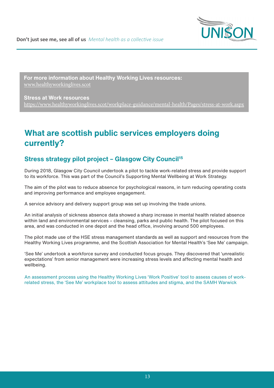

**For more information about Healthy Working Lives resources:**  www.healthyworkinglives.scot

**Stress at Work resources**  https://www.healthyworkinglives.scot/workplace-guidance/mental-health/Pages/stress-at-work.aspx

# **What are scottish public services employers doing currently?**

#### **Stress strategy pilot project - Glasgow City Council<sup>15</sup>**

During 2018, Glasgow City Council undertook a pilot to tackle work-related stress and provide support to its workforce. This was part of the Council's Supporting Mental Wellbeing at Work Strategy.

The aim of the pilot was to reduce absence for psychological reasons, in turn reducing operating costs and improving performance and employee engagement.

A service advisory and delivery support group was set up involving the trade unions.

An initial analysis of sickness absence data showed a sharp increase in mental health related absence within land and environmental services – cleansing, parks and public health. The pilot focused on this area, and was conducted in one depot and the head office, involving around 500 employees.

The pilot made use of the HSE stress management standards as well as support and resources from the Healthy Working Lives programme, and the Scottish Association for Mental Health's 'See Me' campaign.

'See Me' undertook a workforce survey and conducted focus groups. They discovered that 'unrealistic expectations' from senior management were increasing stress levels and affecting mental health and wellbeing.

An assessment process using the Healthy Working Lives 'Work Positive' tool to assess causes of workrelated stress, the 'See Me' workplace tool to assess attitudes and stigma, and the SAMH Warwick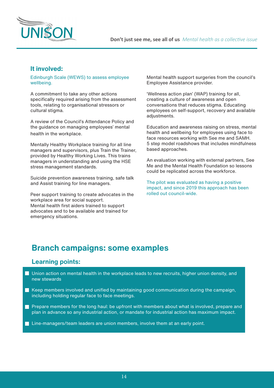

#### **It involved:**

Edinburgh Scale (WEWS) to assess employee wellbeing.

A commitment to take any other actions specifically required arising from the assessment tools, relating to organisational stressors or cultural stigma.

A review of the Council's Attendance Policy and the guidance on managing employees' mental health in the workplace.

Mentally Healthy Workplace training for all line managers and supervisors, plus Train the Trainer, provided by Healthy Working Lives. This trains managers in understanding and using the HSE stress management standards.

Suicide prevention awareness training, safe talk and Assist training for line managers.

Peer support training to create advocates in the workplace area for social support. Mental health first aiders trained to support advocates and to be available and trained for emergency situations.

Mental health support surgeries from the council's Employee Assistance provider.

'Wellness action plan' (WAP) training for all, creating a culture of awareness and open conversations that reduces stigma. Educating employees on self-support, recovery and available adiustments.

Education and awareness raising on stress, mental health and wellbeing for employees using face to face resources working with See me and SAMH. 5 step model roadshows that includes mindfulness based approaches.

An evaluation working with external partners, See Me and the Mental Health Foundation so lessons could be replicated across the workforce.

The pilot was evaluated as having a positive impact, and since 2019 this approach has been rolled out council-wide.

## **Branch campaigns: some examples**

#### **Learning points:**

- Union action on mental health in the workplace leads to new recruits, higher union density, and new stewards
- $\blacksquare$  Keep members involved and unified by maintaining good communication during the campaign, including holding regular face to face meetings.
- **Prepare members for the long haul: be upfront with members about what is involved, prepare and** plan in advance so any industrial action, or mandate for industrial action has maximum impact.
- **Line-managers/team leaders are union members, involve them at an early point.**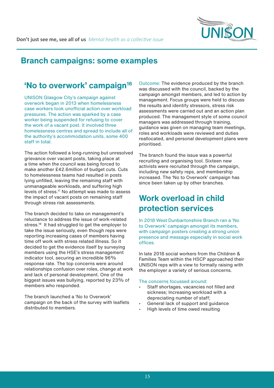

# **Branch campaigns: some examples**

### 'No to overwork' campaign<sup>16</sup>

UNISON Glasgow City's campaign against overwork began in 2013 when homelessness case workers took unofficial action over workload pressures. The action was sparked by a case worker being suspended for refusing to cover the work of a vacant post. It involved three homelessness centres and spread to include all of the authority's accommodation units, some 400 staff in total.

The action followed a long-running but unresolved grievance over vacant posts, taking place at a time when the council was being forced to make another £42.6million of budget cuts. Cuts to homelessness teams had resulted in posts lying unfilled, leaving the remaining staff with unmanageable workloads, and suffering high levels of stress.17 No attempt was made to assess the impact of vacant posts on remaining staff through stress risk assessments.

The branch decided to take on management's reluctance to address the issue of work-related stress.<sup>18</sup> It had struggled to get the employer to take the issue seriously, even though reps were reporting increasing cases of members having time off work with stress related illness. So it decided to get the evidence itself by surveying members using the HSE's stress management indicator tool, securing an incredible 96% response rate. The top concerns were around relationships confusion over roles, change at work and lack of personal development. One of the biggest issues was bullying, reported by 23% of members who responded.

The branch launched a 'No to Overwork' campaign on the back of the survey with leaflets distributed to members.

Outcome: The evidence produced by the branch was discussed with the council, backed by the campaign amongst members, and led to action by management. Focus groups were held to discuss the results and identify stressors, stress risk assessments were carried out and an action plan produced. The management style of some council managers was addressed through training, guidance was given on managing team meetings, roles and workloads were reviewed and duties reallocated, and personal development plans were prioritised.

The branch found the issue was a powerful recruiting and organising tool. Sixteen new activists were recruited through the campaign, including new safety reps, and membership increased. The 'No to Overwork' campaign has since been taken up by other branches.

# **Work overload in child protection services**

In 2018 West Dunbartonshire Branch ran a 'No to Overwork' campaign amongst its members, with campaign posters creating a strong union presence and message especially in social work offices.

In late 2018 social workers from the Children & Families Team within the HSCP approached their UNISON reps with a view to formally raising with the employer a variety of serious concerns.

#### The concerns focussed around:

- Staff shortages, vacancies not filled and sickness; Increasing workload with a depreciating number of staff;
- General lack of support and guidance
- High levels of time owed resulting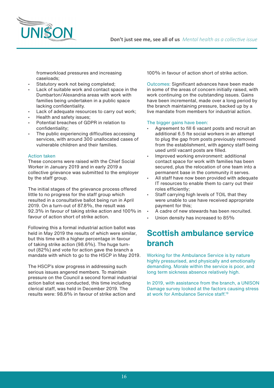

**Don't just see me, see all of us** *Mental health as a collective issue*

fromworkload pressures and increasing caseloads;

- Statutory work not being completed;
- Lack of suitable work and contact space in the Dumbarton/Alexandria areas with work with families being undertaken in a public space lacking confidentiality.
- Lack of adequate resources to carry out work;
- Health and safety issues;
- Potential breaches of GDPR in relation to confidentiality;
- The public experiencing difficulties accessing services, with around 300 unallocated cases of vulnerable children and their families.

#### Action taken

These concerns were raised with the Chief Social Worker in January 2019 and in early 2019 a collective grievance was submitted to the employer by the staff group.

The initial stages of the grievance process offered little to no progress for the staff group which resulted in a consultative ballot being run in April 2019. On a turn-out of 87.8%, the result was 92.3% in favour of taking strike action and 100% in favour of action short of strike action.

Following this a formal industrial action ballot was held in May 2019 the results of which were similar, but this time with a higher percentage in favour of taking strike action (98.6%). The huge turnout (82%) and vote for action gave the branch a mandate with which to go to the HSCP in May 2019.

The HSCP's slow progress in addressing such serious issues angered members. To maintain pressure on the Council a second formal industrial action ballot was conducted, this time including clerical staff, was held in December 2019. The results were: 98.8% in favour of strike action and

100% in favour of action short of strike action.

Outcomes: Significant advances have been made in some of the areas of concern initially raised, with work continuing on the outstanding issues. Gains have been incremental, made over a long period by the branch maintaining pressure, backed up by a live mandate from members for industrial action.

#### The bigger gains have been:

- Agreement to fill 6 vacant posts and recruit an additional 6.5 fte social workers in an attempt to plug the gap from posts previously removed from the establishment, with agency staff being used until vacant posts are filled.
- Improved working environment: additional contact space for work with families has been secured, plus the relocation of one team into a permanent base in the community it serves.
- All staff have now been provided with adequate IT resources to enable them to carry out their roles efficiently;
- Staff carrying high levels of TOIL that they were unable to use have received appropriate payment for this;
- A cadre of new stewards has been recruited.
- Union density has increased to 85%

## **Scottish ambulance service branch**

Working for the Ambulance Service is by nature highly pressurised, and physically and emotionally demanding. Morale within the service is poor, and long term sickness absence relatively high.

In 2019, with assistance from the branch, a UNISON Damage survey looked at the factors causing stress at work for Ambulance Service staff.19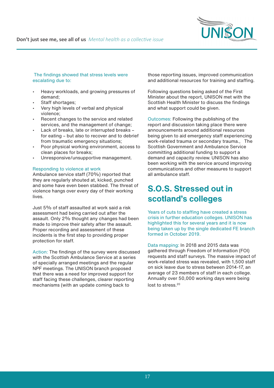

#### The findings showed that stress levels were escalating due to:

- Heavy workloads, and growing pressures of demand;
- Staff shortages;
- Very high levels of verbal and physical violence;
- Recent changes to the service and related services, and the management of change;
- Lack of breaks, late or interrupted breaks for eating – but also to recover and to debrief from traumatic emergency situations;
- Poor physical working environment, access to clean places for breaks;
- Unresponsive/unsupportive management.

#### Responding to violence at work

Ambulance service staff (70%) reported that they are regularly shouted at, kicked, punched and some have even been stabbed. The threat of violence hangs over every day of their working lives.

Just 5% of staff assaulted at work said a risk assessment had being carried out after the assault. Only 2% thought any changes had been made to improve their safety after the assault. Proper recording and assessment of these incidents is the first step to providing proper protection for staff.

Action: The findings of the survey were discussed with the Scottish Ambulance Service at a series of specially arranged meetings and the regular NPF meetings. The UNISON branch proposed that there was a need for improved support for staff facing these challenges, clearer reporting mechanisms (with an update coming back to

those reporting issues, improved communication and additional resources for training and staffing.

Following questions being asked of the First Minister about the report, UNISON met with the Scottish Health Minister to discuss the findings and what support could be given.

Outcomes: Following the publishing of the report and discussion taking place there were announcements around additional resources being given to aid emergency staff experiencing work-related trauma or secondary trauma., The Scottish Government and Ambulance Service committing additional funding to support a demand and capacity review. UNISON has also been working with the service around improving communications and other measures to support all ambulance staff.

# **S.O.S. Stressed out in scotland's colleges**

Years of cuts to staffing have created a stress crisis in further education colleges. UNISON has highlighted this for several years and it is now being taken up by the single dedicated FE branch formed in October 2019.

Data mapping: In 2018 and 2015 data was gathered through Freedom of Information (FOI) requests and staff surveys. The massive impact of work-related stress was revealed, with 1,500 staff on sick leave due to stress between 2014-17, an average of 23 members of staff in each college. Annually over 50,000 working days were being lost to stress<sup>20</sup>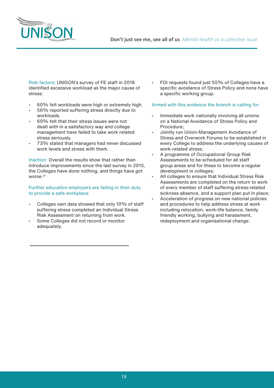



Risk factors: UNISON's survey of FE staff in 2018 identified excessive workload as the major cause of stress:

- 60% felt workloads were high or extremely high.
- 56% reported suffering stress directly due to workloads.
- 69% felt that their stress issues were not dealt with in a satisfactory way and college management have failed to take work related stress seriously.
- 73% stated that managers had never discussed work levels and stress with them.

Inaction: Overall the results show that rather than introduce improvements since the last survey in 2015, the Colleges have done nothing, and things have got worse.<sup>21</sup>

Further education employers are failing in their duty to provide a safe workplace:

- Colleges own data showed that only 10% of staff suffering stress completed an Individual Stress Risk Assessment on returning from work.
- Some Colleges did not record or monitor adequately.

• FOI requests found just 55% of Colleges have a specific avoidance of Stress Policy and none have a specific working group.

#### Armed with this evidence the branch is calling for:

- Immediate work nationally involving all unions on a National Avoidance of Stress Policy and Procedure;
- Jointly run Union-Management Avoidance of Stress and Overwork Forums to be established in every College to address the underlying causes of work-related stress;
- A programme of Occupational Group Risk Assessments to be scheduled for all staff group areas and for these to become a regular development in colleges;
- All colleges to ensure that Individual Stress Risk Assessments are completed on the return to work of every member of staff suffering stress-related sickness absence, and a support plan put in place;
- Acceleration of progress on new national policies and procedures to help address stress at work including relocation, work-life balance, family friendly working, bullying and harassment, redeployment and organisational change.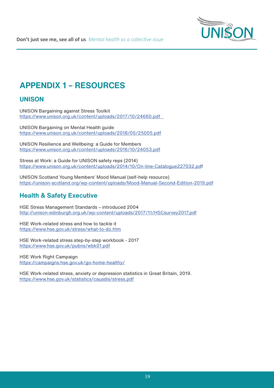

**Don't just see me, see all of us** *Mental health as a collective issue*

# **APPENDIX 1 – RESOURCES**

#### **UNISON**

UNISON Bargaining against Stress Toolkit https://www.unison.org.uk/content/uploads/2017/10/24660.pdf

UNISON Bargaining on Mental Health guide https://www.unison.org.uk/content/uploads/2018/05/25005.pdf

UNISON Resilience and Wellbeing: a Guide for Members https://www.unison.org.uk/content/uploads/2016/10/24053.pdf

Stress at Work: a Guide for UNISON safety reps (2014) https://www.unison.org.uk/content/uploads/2014/10/On-line-Catalogue227032.pdf

UNISON Scotland Young Members' Mood Manual (self-help resource) https://unison-scotland.org/wp-content/uploads/Mood-Manual-Second-Edition-2019.pdf

#### **Health & Safety Executive**

HSE Stress Management Standards – introduced 2004 http://unison-edinburgh.org.uk/wp-content/uploads/2017/11/HSCsurvey2017.pdf

HSE Work-related stress and how to tackle it https://www.hse.gov.uk/stress/what-to-do.htm

HSE Work-related stress step-by-step workbook - 2017 https://www.hse.gov.uk/pubns/wbk01.pdf

HSE Work Right Campaign https://campaigns.hse.gov.uk/go-home-healthy/

HSE Work-related stress, anxiety or depression statistics in Great Britain, 2019. https://www.hse.gov.uk/statistics/causdis/stress.pdf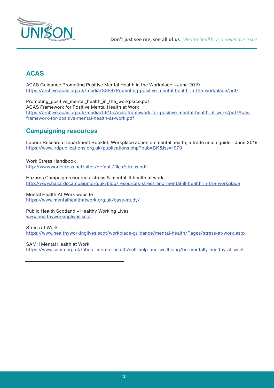

#### **ACAS**

ACAS Guidance Promoting Positive Mental Health in the Workplace – June 2019 https://archive.acas.org.uk/media/3384/Promoting-positive-mental-health-in-the-workplace/pdf/

Promoting\_positive\_mental\_health\_in\_the\_workplace.pdf ACAS Framework for Positive Mental Health at Work https://archive.acas.org.uk/media/5910/Acas-framework-for-positive-mental-health-at-work/pdf/Acasframework-for-positive-mental-health-at-work.pdf

#### **Campaigning resources**

Labour Research Department Booklet, Workplace action on mental health, a trade union guide - June 2019 https://www.lrdpublications.org.uk/publications.php?pub=BK&iss=1979

Work Stress Handbook http://www.workstress.net/sites/default/files/stress.pdf

Hazards Campaign resources: stress & mental ill-health at work http://www.hazardscampaign.org.uk/blog/resources-stress-and-mental-ill-health-in-the-workplace

Mental Health At Work website https://www.mentalhealthatwork.org.uk/case-study/

Public Health Scotland – Healthy Working Lives www.healthyworkinglives.scot

Stress at Work https://www.healthyworkinglives.scot/workplace-guidance/mental-health/Pages/stress-at-work.aspx

SAMH Mental Health at Work https://www.samh.org.uk/about-mental-health/self-help-and-wellbeing/be-mentally-healthy-at-work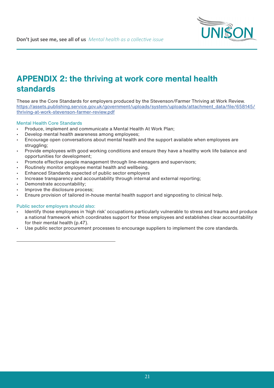

# **APPENDIX 2: the thriving at work core mental health standards**

These are the Core Standards for employers produced by the Stevenson/Farmer Thriving at Work Review. https://assets.publishing.service.gov.uk/government/uploads/system/uploads/attachment\_data/file/658145/ thriving-at-work-stevenson-farmer-review.pdf

#### Mental Health Core Standards

- Produce, implement and communicate a Mental Health At Work Plan;
- Develop mental health awareness among employees;
- Encourage open conversations about mental health and the support available when employees are struggling;
- Provide employees with good working conditions and ensure they have a healthy work life balance and opportunities for development;
- Promote effective people management through line-managers and supervisors;
- Routinely monitor employee mental health and wellbeing.
- Enhanced Standards expected of public sector employers
- Increase transparency and accountability through internal and external reporting;
- Demonstrate accountability;
- Improve the disclosure process:
- Ensure provision of tailored in-house mental health support and signposting to clinical help.

#### Public sector employers should also:

- Identify those employees in 'high risk' occupations particularly vulnerable to stress and trauma and produce a national framework which coordinates support for these employees and establishes clear accountability for their mental health (p.47).
- Use public sector procurement processes to encourage suppliers to implement the core standards.